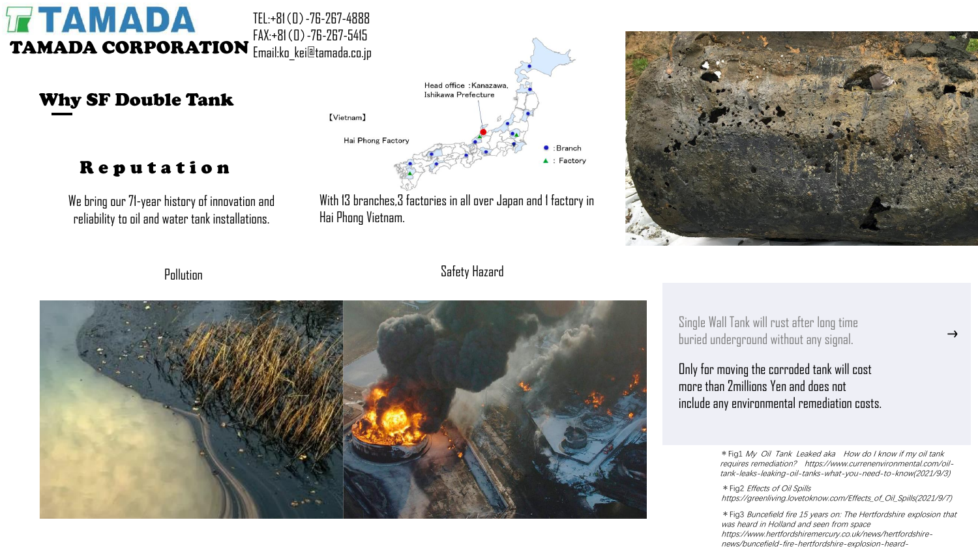#### **TAMADA** TEL:+81(0)-76-267-4888 FAX:+81(0)-76-267-5415 TAMADA CORPORATION Email:ko\_kei@tamada.co.jp

Why SF Double Tank

## Reputation

We bring our 71-year history of innovation and reliability to oil and water tank installations.



With 13 branches,3 factories in all over Japan and 1 factory in Hai Phong Vietnam.



**Pollution** 

Safety Hazard



Single Wall Tank will rust after long time buried underground without any signal.

Only for moving the corroded tank will cost more than 2millions Yen and does not include any environmental remediation costs.

> \*Fig1 My Oil Tank Leaked aka How do I know if my oil tank requires remediation? https://www.currenenvironmental.com/oiltank-leaks-leaking-oil-tanks-what-you-need-to-know(2021/9/3)

> \*Fig2 Effects of Oil Spills https://greenliving.lovetoknow.com/Effects\_of\_Oil\_Spills(2021/9/7)

\*Fig3 Buncefield fire 15 years on: The Hertfordshire explosion that was heard in Holland and seen from space https://www.hertfordshiremercury.co.uk/news/hertfordshirenews/buncefield-fire-hertfordshire-explosion-heard-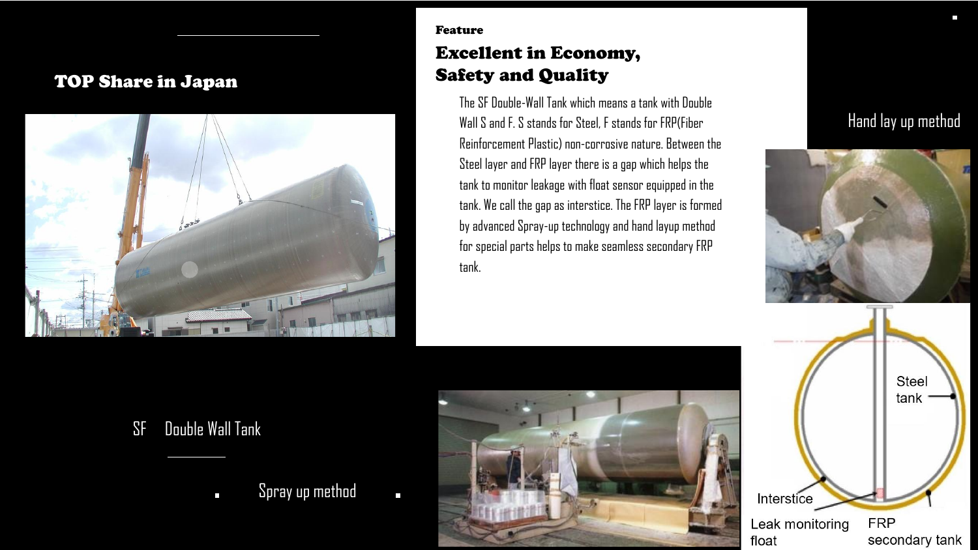#### TOP Share in Japan



### Feature Excellent in Economy, Safety and Quality

for special parts helps to make seamless secondary FRP The SF Double-Wall Tank which means a tank with Double Wall S and F. S stands for Steel, F stands for FRP(Fiber Reinforcement Plastic) non-corrosive nature. Between the Steel layer and FRP layer there is a gap which helps the tank to monitor leakage with float sensor equipped in the tank. We call the gap as interstice. The FRP layer is formed by advanced Spray-up technology and hand layup method tank.

# Hand lay up method



# SF Double Wall Tank

Spray up method  $\mathcal{L}_{\mathcal{A}}$ 

 $\blacksquare$